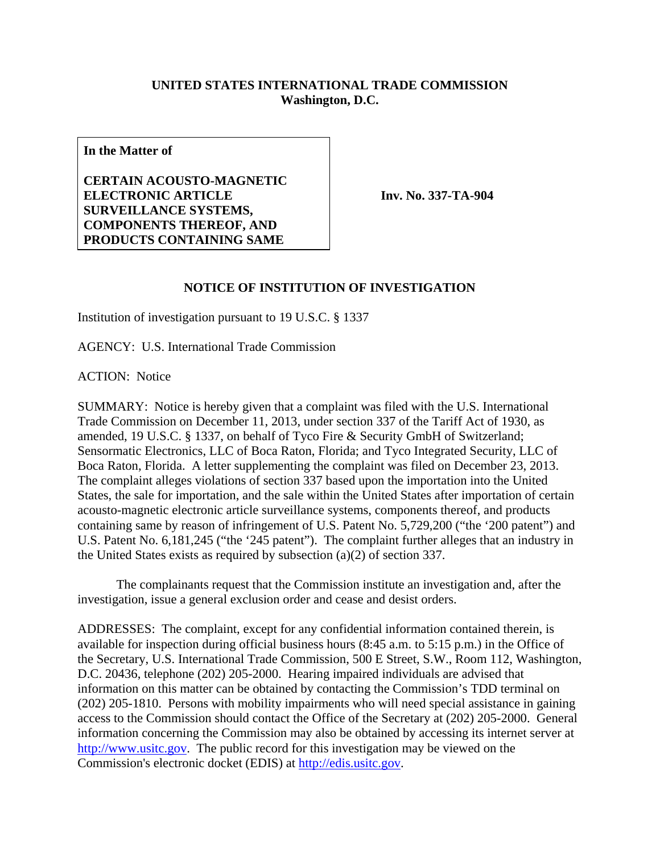## **UNITED STATES INTERNATIONAL TRADE COMMISSION Washington, D.C.**

**In the Matter of** 

**CERTAIN ACOUSTO-MAGNETIC ELECTRONIC ARTICLE SURVEILLANCE SYSTEMS, COMPONENTS THEREOF, AND PRODUCTS CONTAINING SAME** 

**Inv. No. 337-TA-904**

## **NOTICE OF INSTITUTION OF INVESTIGATION**

Institution of investigation pursuant to 19 U.S.C. § 1337

AGENCY: U.S. International Trade Commission

ACTION: Notice

SUMMARY: Notice is hereby given that a complaint was filed with the U.S. International Trade Commission on December 11, 2013, under section 337 of the Tariff Act of 1930, as amended, 19 U.S.C. § 1337, on behalf of Tyco Fire & Security GmbH of Switzerland; Sensormatic Electronics, LLC of Boca Raton, Florida; and Tyco Integrated Security, LLC of Boca Raton, Florida. A letter supplementing the complaint was filed on December 23, 2013. The complaint alleges violations of section 337 based upon the importation into the United States, the sale for importation, and the sale within the United States after importation of certain acousto-magnetic electronic article surveillance systems, components thereof, and products containing same by reason of infringement of U.S. Patent No. 5,729,200 ("the '200 patent") and U.S. Patent No. 6,181,245 ("the '245 patent"). The complaint further alleges that an industry in the United States exists as required by subsection (a)(2) of section 337.

 The complainants request that the Commission institute an investigation and, after the investigation, issue a general exclusion order and cease and desist orders.

ADDRESSES: The complaint, except for any confidential information contained therein, is available for inspection during official business hours (8:45 a.m. to 5:15 p.m.) in the Office of the Secretary, U.S. International Trade Commission, 500 E Street, S.W., Room 112, Washington, D.C. 20436, telephone (202) 205-2000. Hearing impaired individuals are advised that information on this matter can be obtained by contacting the Commission's TDD terminal on (202) 205-1810. Persons with mobility impairments who will need special assistance in gaining access to the Commission should contact the Office of the Secretary at (202) 205-2000. General information concerning the Commission may also be obtained by accessing its internet server at http://www.usitc.gov. The public record for this investigation may be viewed on the Commission's electronic docket (EDIS) at http://edis.usitc.gov.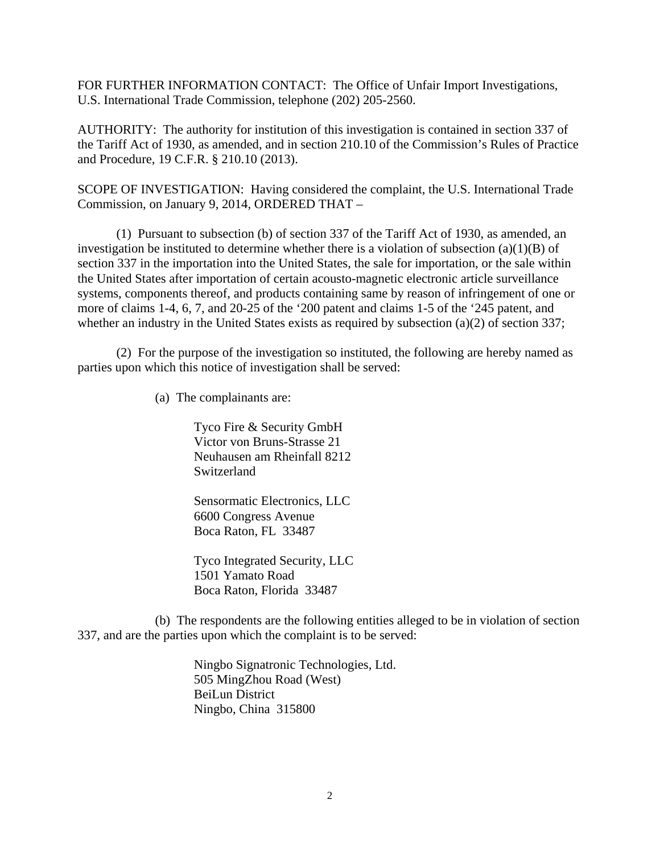FOR FURTHER INFORMATION CONTACT: The Office of Unfair Import Investigations, U.S. International Trade Commission, telephone (202) 205-2560.

AUTHORITY: The authority for institution of this investigation is contained in section 337 of the Tariff Act of 1930, as amended, and in section 210.10 of the Commission's Rules of Practice and Procedure, 19 C.F.R. § 210.10 (2013).

SCOPE OF INVESTIGATION: Having considered the complaint, the U.S. International Trade Commission, on January 9, 2014, ORDERED THAT –

 (1) Pursuant to subsection (b) of section 337 of the Tariff Act of 1930, as amended, an investigation be instituted to determine whether there is a violation of subsection  $(a)(1)(B)$  of section 337 in the importation into the United States, the sale for importation, or the sale within the United States after importation of certain acousto-magnetic electronic article surveillance systems, components thereof, and products containing same by reason of infringement of one or more of claims 1-4, 6, 7, and 20-25 of the '200 patent and claims 1-5 of the '245 patent, and whether an industry in the United States exists as required by subsection (a)(2) of section 337;

 (2) For the purpose of the investigation so instituted, the following are hereby named as parties upon which this notice of investigation shall be served:

(a) The complainants are:

Tyco Fire & Security GmbH Victor von Bruns-Strasse 21 Neuhausen am Rheinfall 8212 Switzerland

Sensormatic Electronics, LLC 6600 Congress Avenue Boca Raton, FL 33487

Tyco Integrated Security, LLC 1501 Yamato Road Boca Raton, Florida 33487

 (b) The respondents are the following entities alleged to be in violation of section 337, and are the parties upon which the complaint is to be served:

> Ningbo Signatronic Technologies, Ltd. 505 MingZhou Road (West) BeiLun District Ningbo, China 315800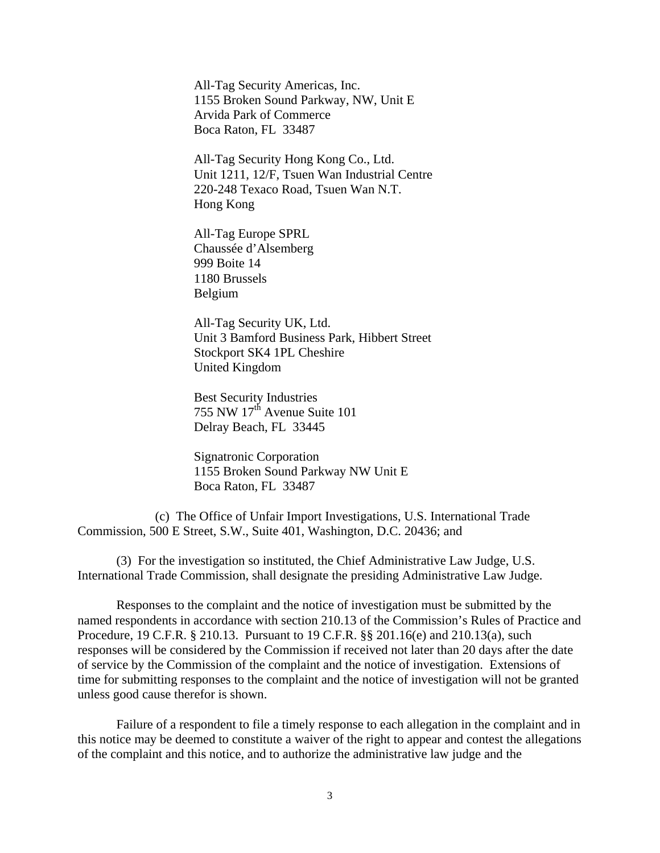All-Tag Security Americas, Inc. 1155 Broken Sound Parkway, NW, Unit E Arvida Park of Commerce Boca Raton, FL 33487

All-Tag Security Hong Kong Co., Ltd. Unit 1211, 12/F, Tsuen Wan Industrial Centre 220-248 Texaco Road, Tsuen Wan N.T. Hong Kong

All-Tag Europe SPRL Chaussée d'Alsemberg 999 Boite 14 1180 Brussels Belgium

All-Tag Security UK, Ltd. Unit 3 Bamford Business Park, Hibbert Street Stockport SK4 1PL Cheshire United Kingdom

Best Security Industries 755 NW  $17<sup>th</sup>$  Avenue Suite 101 Delray Beach, FL 33445

Signatronic Corporation 1155 Broken Sound Parkway NW Unit E Boca Raton, FL 33487

 (c) The Office of Unfair Import Investigations, U.S. International Trade Commission, 500 E Street, S.W., Suite 401, Washington, D.C. 20436; and

 (3) For the investigation so instituted, the Chief Administrative Law Judge, U.S. International Trade Commission, shall designate the presiding Administrative Law Judge.

 Responses to the complaint and the notice of investigation must be submitted by the named respondents in accordance with section 210.13 of the Commission's Rules of Practice and Procedure, 19 C.F.R. § 210.13. Pursuant to 19 C.F.R. §§ 201.16(e) and 210.13(a), such responses will be considered by the Commission if received not later than 20 days after the date of service by the Commission of the complaint and the notice of investigation. Extensions of time for submitting responses to the complaint and the notice of investigation will not be granted unless good cause therefor is shown.

 Failure of a respondent to file a timely response to each allegation in the complaint and in this notice may be deemed to constitute a waiver of the right to appear and contest the allegations of the complaint and this notice, and to authorize the administrative law judge and the